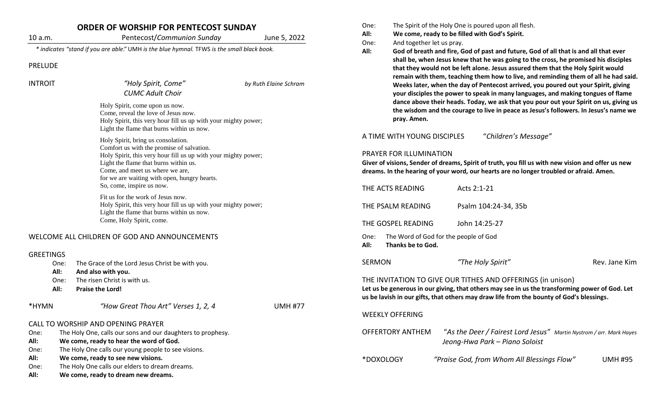| 10 a.m.           | <b>ORDER OF WORSHIP FOR PENTECOST SUNDAY</b>                                                                                                                                                                                                                                                               |                       |
|-------------------|------------------------------------------------------------------------------------------------------------------------------------------------------------------------------------------------------------------------------------------------------------------------------------------------------------|-----------------------|
|                   | Pentecost/Communion Sunday                                                                                                                                                                                                                                                                                 | June 5, 2022          |
|                   | * indicates "stand if you are able." UMH is the blue hymnal. TFWS is the small black book.                                                                                                                                                                                                                 |                       |
| <b>PRELUDE</b>    |                                                                                                                                                                                                                                                                                                            |                       |
| <b>INTROIT</b>    | "Holy Spirit, Come"                                                                                                                                                                                                                                                                                        | by Ruth Elaine Schram |
|                   | <b>CUMC Adult Choir</b>                                                                                                                                                                                                                                                                                    |                       |
|                   | Holy Spirit, come upon us now.<br>Come, reveal the love of Jesus now.<br>Holy Spirit, this very hour fill us up with your mighty power;<br>Light the flame that burns within us now.                                                                                                                       |                       |
|                   | Holy Spirit, bring us consolation.<br>Comfort us with the promise of salvation.<br>Holy Spirit, this very hour fill us up with your mighty power;<br>Light the flame that burns within us.<br>Come, and meet us where we are,<br>for we are waiting with open, hungry hearts.<br>So, come, inspire us now. |                       |
|                   | Fit us for the work of Jesus now.<br>Holy Spirit, this very hour fill us up with your mighty power;<br>Light the flame that burns within us now.<br>Come, Holy Spirit, come.                                                                                                                               |                       |
|                   | WELCOME ALL CHILDREN OF GOD AND ANNOUNCEMENTS                                                                                                                                                                                                                                                              |                       |
| GREETINGS<br>One: | The Grace of the Lord Jesus Christ be with you.<br>والمقادون وتمالط المسراة                                                                                                                                                                                                                                |                       |

- **All: And also with you.**
- One: The risen Christ is with us.
- **All: Praise the Lord!**

\*HYMN *"How Great Thou Art" Verses 1, 2, 4* UMH #77

## CALL TO WORSHIP AND OPENING PRAYER

| One: | The Holy One, calls our sons and our daughters to prophesy. |
|------|-------------------------------------------------------------|
|------|-------------------------------------------------------------|

**All: We come, ready to hear the word of God.**

- One: The Holy One calls our young people to see visions.
- **All: We come, ready to see new visions.**
- One: The Holy One calls our elders to dream dreams.
- **All: We come, ready to dream new dreams.**
- One: The Spirit of the Holy One is poured upon all flesh.
- **All: We come, ready to be filled with God's Spirit.**
- One: And together let us pray.
- **All: God of breath and fire, God of past and future, God of all that is and all that ever shall be, when Jesus knew that he was going to the cross, he promised his disciples that they would not be left alone. Jesus assured them that the Holy Spirit would remain with them, teaching them how to live, and reminding them of all he had said. Weeks later, when the day of Pentecost arrived, you poured out your Spirit, giving your disciples the power to speak in many languages, and making tongues of flame dance above their heads. Today, we ask that you pour out your Spirit on us, giving us the wisdom and the courage to live in peace as Jesus's followers. In Jesus's name we pray. Amen.**

A TIME WITH YOUNG DISCIPLES "*Children's Message"*

## PRAYER FOR ILLUMINATION

**Giver of visions, Sender of dreams, Spirit of truth, you fill us with new vision and offer us new dreams. In the hearing of your word, our hearts are no longer troubled or afraid. Amen.**

| THE ACTS READING                                                                                                                                             | Acts 2:1-21          |               |  |  |  |
|--------------------------------------------------------------------------------------------------------------------------------------------------------------|----------------------|---------------|--|--|--|
| THE PSALM READING                                                                                                                                            | Psalm 104:24-34, 35b |               |  |  |  |
| THE GOSPEL READING                                                                                                                                           | John 14:25-27        |               |  |  |  |
| The Word of God for the people of God<br>One:<br>Thanks be to God.<br>All:                                                                                   |                      |               |  |  |  |
| SERMON                                                                                                                                                       | "The Holy Spirit"    | Rev. Jane Kim |  |  |  |
| THE INVITATION TO GIVE OUR TITHES AND OFFERINGS (in unison)<br>Let us he generous in our giving that others may see in us the transforming nower of God. Let |                      |               |  |  |  |

**Let us be generous in our giving, that others may see in us the transforming power of God. Let us be lavish in our gifts, that others may draw life from the bounty of God's blessings.**

## WEEKLY OFFERING

| <b>OFFERTORY ANTHEM</b> | "As the Deer / Fairest Lord Jesus" Martin Nystrom / arr. Mark Hayes |  |
|-------------------------|---------------------------------------------------------------------|--|
|                         | Jeong-Hwa Park – Piano Soloist                                      |  |

\*DOXOLOGY *"Praise God, from Whom All Blessings Flow"* UMH #95